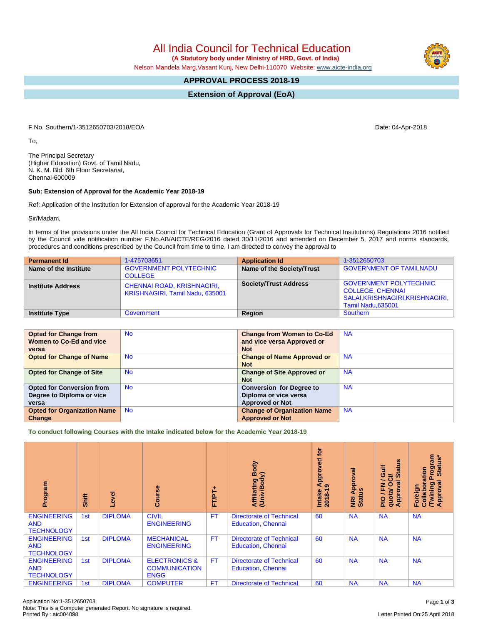All India Council for Technical Education

 **(A Statutory body under Ministry of HRD, Govt. of India)**

Nelson Mandela Marg,Vasant Kunj, New Delhi-110070 Website: [www.aicte-india.org](http://www.aicte-india.org)

## **APPROVAL PROCESS 2018-19**

**Extension of Approval (EoA)**

F.No. Southern/1-3512650703/2018/EOA Date: 04-Apr-2018

To,

The Principal Secretary (Higher Education) Govt. of Tamil Nadu, N. K. M. Bld. 6th Floor Secretariat, Chennai-600009

## **Sub: Extension of Approval for the Academic Year 2018-19**

Ref: Application of the Institution for Extension of approval for the Academic Year 2018-19

Sir/Madam,

In terms of the provisions under the All India Council for Technical Education (Grant of Approvals for Technical Institutions) Regulations 2016 notified by the Council vide notification number F.No.AB/AICTE/REG/2016 dated 30/11/2016 and amended on December 5, 2017 and norms standards, procedures and conditions prescribed by the Council from time to time, I am directed to convey the approval to

| <b>Permanent Id</b>      | 1-475703651                                                          | <b>Application Id</b>        | 1-3512650703                                                                                                       |
|--------------------------|----------------------------------------------------------------------|------------------------------|--------------------------------------------------------------------------------------------------------------------|
| Name of the Institute    | <b>GOVERNMENT POLYTECHNIC</b><br><b>COLLEGE</b>                      | Name of the Society/Trust    | <b>GOVERNMENT OF TAMILNADU</b>                                                                                     |
| <b>Institute Address</b> | <b>CHENNAI ROAD, KRISHNAGIRI,</b><br>KRISHNAGIRI, Tamil Nadu, 635001 | <b>Society/Trust Address</b> | <b>GOVERNMENT POLYTECHNIC</b><br><b>COLLEGE, CHENNAI</b><br>SALAI, KRISHNAGIRI, KRISHNAGIRI,<br>Tamil Nadu, 635001 |
| <b>Institute Type</b>    | Government                                                           | Region                       | Southern                                                                                                           |

| <b>Opted for Change from</b>       | <b>No</b> | <b>Change from Women to Co-Ed</b>  | <b>NA</b> |
|------------------------------------|-----------|------------------------------------|-----------|
| Women to Co-Ed and vice            |           | and vice versa Approved or         |           |
| versa                              |           | <b>Not</b>                         |           |
| <b>Opted for Change of Name</b>    | <b>No</b> | <b>Change of Name Approved or</b>  | <b>NA</b> |
|                                    |           | <b>Not</b>                         |           |
| <b>Opted for Change of Site</b>    | <b>No</b> | <b>Change of Site Approved or</b>  | <b>NA</b> |
|                                    |           | <b>Not</b>                         |           |
| <b>Opted for Conversion from</b>   | <b>No</b> | <b>Conversion for Degree to</b>    | <b>NA</b> |
| Degree to Diploma or vice          |           | Diploma or vice versa              |           |
| versa                              |           | <b>Approved or Not</b>             |           |
| <b>Opted for Organization Name</b> | <b>No</b> | <b>Change of Organization Name</b> | <b>NA</b> |
| Change                             |           | <b>Approved or Not</b>             |           |

**To conduct following Courses with the Intake indicated below for the Academic Year 2018-19**

| Program                                               | Shift           | Level          | rse<br>ဒ္ပိ                                                     | FT/PT+    | Body<br>Affiliating Book<br>(Univ/Body)                      | tor<br>pproved<br>₹<br>$\sigma$<br>$2018 - 1$<br>Intake | ड़<br>Approv<br><b>NRI Ap<br/>Status</b> | <b>Status</b><br>Guif<br>⇒<br>ပ<br>0<br>g<br>준<br>quota/<br>Appro<br><b>DId</b> | rogram<br>Status*<br>oration<br>۵<br>ह्र<br><b>Twining</b><br>Approval<br>Foreign<br>Collal |
|-------------------------------------------------------|-----------------|----------------|-----------------------------------------------------------------|-----------|--------------------------------------------------------------|---------------------------------------------------------|------------------------------------------|---------------------------------------------------------------------------------|---------------------------------------------------------------------------------------------|
| <b>ENGINEERING</b><br><b>AND</b><br><b>TECHNOLOGY</b> | 1st             | <b>DIPLOMA</b> | <b>CIVIL</b><br><b>ENGINEERING</b>                              | <b>FT</b> | <b>Directorate of Technical</b><br><b>Education, Chennai</b> | 60                                                      | <b>NA</b>                                | <b>NA</b>                                                                       | <b>NA</b>                                                                                   |
| <b>ENGINEERING</b><br><b>AND</b><br><b>TECHNOLOGY</b> | 1st             | <b>DIPLOMA</b> | <b>MECHANICAL</b><br><b>ENGINEERING</b>                         | <b>FT</b> | <b>Directorate of Technical</b><br><b>Education, Chennai</b> | 60                                                      | <b>NA</b>                                | <b>NA</b>                                                                       | <b>NA</b>                                                                                   |
| <b>ENGINEERING</b><br><b>AND</b><br><b>TECHNOLOGY</b> | 1st             | <b>DIPLOMA</b> | <b>ELECTRONICS &amp;</b><br><b>COMMUNICATION</b><br><b>ENGG</b> | FT.       | <b>Directorate of Technical</b><br><b>Education, Chennai</b> | 60                                                      | <b>NA</b>                                | <b>NA</b>                                                                       | <b>NA</b>                                                                                   |
| <b>ENGINEERING</b>                                    | 1 <sub>st</sub> | <b>DIPLOMA</b> | <b>COMPUTER</b>                                                 | <b>FT</b> | <b>Directorate of Technical</b>                              | 60                                                      | <b>NA</b>                                | <b>NA</b>                                                                       | <b>NA</b>                                                                                   |

Letter Printed On:25 April 2018

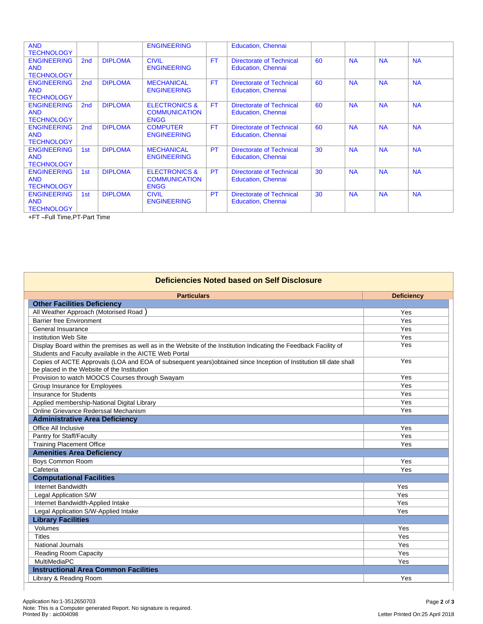| <b>AND</b><br><b>TECHNOLOGY</b>                       |                 |                | <b>ENGINEERING</b>                                              |           | <b>Education, Chennai</b>                                    |    |           |           |           |
|-------------------------------------------------------|-----------------|----------------|-----------------------------------------------------------------|-----------|--------------------------------------------------------------|----|-----------|-----------|-----------|
| <b>ENGINEERING</b><br><b>AND</b><br><b>TECHNOLOGY</b> | 2 <sub>nd</sub> | <b>DIPLOMA</b> | <b>CIVIL</b><br><b>ENGINEERING</b>                              | <b>FT</b> | Directorate of Technical<br><b>Education, Chennai</b>        | 60 | <b>NA</b> | <b>NA</b> | <b>NA</b> |
| <b>ENGINEERING</b><br><b>AND</b><br><b>TECHNOLOGY</b> | 2 <sub>nd</sub> | <b>DIPLOMA</b> | <b>MECHANICAL</b><br><b>ENGINEERING</b>                         | <b>FT</b> | <b>Directorate of Technical</b><br><b>Education, Chennai</b> | 60 | <b>NA</b> | <b>NA</b> | <b>NA</b> |
| <b>ENGINEERING</b><br><b>AND</b><br><b>TECHNOLOGY</b> | 2 <sub>nd</sub> | <b>DIPLOMA</b> | <b>ELECTRONICS &amp;</b><br><b>COMMUNICATION</b><br><b>ENGG</b> | FT.       | <b>Directorate of Technical</b><br><b>Education, Chennai</b> | 60 | <b>NA</b> | <b>NA</b> | <b>NA</b> |
| <b>ENGINEERING</b><br><b>AND</b><br><b>TECHNOLOGY</b> | 2 <sub>nd</sub> | <b>DIPLOMA</b> | <b>COMPUTER</b><br><b>ENGINEERING</b>                           | <b>FT</b> | <b>Directorate of Technical</b><br><b>Education, Chennai</b> | 60 | <b>NA</b> | <b>NA</b> | <b>NA</b> |
| <b>ENGINEERING</b><br><b>AND</b><br><b>TECHNOLOGY</b> | 1st             | <b>DIPLOMA</b> | <b>MECHANICAL</b><br><b>ENGINEERING</b>                         | <b>PT</b> | <b>Directorate of Technical</b><br><b>Education, Chennai</b> | 30 | <b>NA</b> | <b>NA</b> | <b>NA</b> |
| <b>ENGINEERING</b><br><b>AND</b><br><b>TECHNOLOGY</b> | 1st             | <b>DIPLOMA</b> | <b>ELECTRONICS &amp;</b><br><b>COMMUNICATION</b><br><b>ENGG</b> | <b>PT</b> | <b>Directorate of Technical</b><br><b>Education, Chennai</b> | 30 | <b>NA</b> | <b>NA</b> | <b>NA</b> |
| <b>ENGINEERING</b><br><b>AND</b><br><b>TECHNOLOGY</b> | 1st             | <b>DIPLOMA</b> | <b>CIVIL</b><br><b>ENGINEERING</b>                              | <b>PT</b> | <b>Directorate of Technical</b><br><b>Education, Chennai</b> | 30 | <b>NA</b> | <b>NA</b> | <b>NA</b> |

+FT –Full Time,PT-Part Time

| Deficiencies Noted based on Self Disclosure                                                                                                                                  |                   |  |  |  |  |  |  |
|------------------------------------------------------------------------------------------------------------------------------------------------------------------------------|-------------------|--|--|--|--|--|--|
| <b>Particulars</b>                                                                                                                                                           | <b>Deficiency</b> |  |  |  |  |  |  |
| <b>Other Facilities Deficiency</b>                                                                                                                                           |                   |  |  |  |  |  |  |
| All Weather Approach (Motorised Road)                                                                                                                                        | Yes               |  |  |  |  |  |  |
| <b>Barrier free Environment</b>                                                                                                                                              | Yes               |  |  |  |  |  |  |
| General Insuarance                                                                                                                                                           | Yes               |  |  |  |  |  |  |
| <b>Institution Web Site</b>                                                                                                                                                  | Yes               |  |  |  |  |  |  |
| Display Board within the premises as well as in the Website of the Institution Indicating the Feedback Facility of<br>Students and Faculty available in the AICTE Web Portal | Yes               |  |  |  |  |  |  |
| Copies of AICTE Approvals (LOA and EOA of subsequent years) obtained since Inception of Institution till date shall<br>be placed in the Website of the Institution           | Yes               |  |  |  |  |  |  |
| Provision to watch MOOCS Courses through Swayam                                                                                                                              | Yes               |  |  |  |  |  |  |
| Group Insurance for Employees                                                                                                                                                | Yes               |  |  |  |  |  |  |
| <b>Insurance for Students</b>                                                                                                                                                | Yes               |  |  |  |  |  |  |
| Applied membership-National Digital Library                                                                                                                                  | Yes               |  |  |  |  |  |  |
| Online Grievance Rederssal Mechanism                                                                                                                                         | Yes               |  |  |  |  |  |  |
| <b>Administrative Area Deficiency</b>                                                                                                                                        |                   |  |  |  |  |  |  |
| Office All Inclusive                                                                                                                                                         | Yes               |  |  |  |  |  |  |
| Pantry for Staff/Faculty                                                                                                                                                     | Yes               |  |  |  |  |  |  |
| <b>Training Placement Office</b>                                                                                                                                             | Yes               |  |  |  |  |  |  |
| <b>Amenities Area Deficiency</b>                                                                                                                                             |                   |  |  |  |  |  |  |
| <b>Boys Common Room</b>                                                                                                                                                      | Yes               |  |  |  |  |  |  |
| Cafeteria                                                                                                                                                                    | Yes               |  |  |  |  |  |  |
| <b>Computational Facilities</b>                                                                                                                                              |                   |  |  |  |  |  |  |
| Internet Bandwidth                                                                                                                                                           | Yes               |  |  |  |  |  |  |
| Legal Application S/W                                                                                                                                                        | Yes               |  |  |  |  |  |  |
| Internet Bandwidth-Applied Intake                                                                                                                                            | Yes               |  |  |  |  |  |  |
| Legal Application S/W-Applied Intake                                                                                                                                         | Yes               |  |  |  |  |  |  |
| <b>Library Facilities</b>                                                                                                                                                    |                   |  |  |  |  |  |  |
| Volumes                                                                                                                                                                      | Yes               |  |  |  |  |  |  |
| <b>Titles</b>                                                                                                                                                                | Yes               |  |  |  |  |  |  |
| <b>National Journals</b>                                                                                                                                                     | Yes               |  |  |  |  |  |  |
| Reading Room Capacity                                                                                                                                                        | Yes               |  |  |  |  |  |  |
| <b>MultiMediaPC</b>                                                                                                                                                          | Yes               |  |  |  |  |  |  |
| <b>Instructional Area Common Facilities</b>                                                                                                                                  |                   |  |  |  |  |  |  |
| Library & Reading Room                                                                                                                                                       | Yes               |  |  |  |  |  |  |